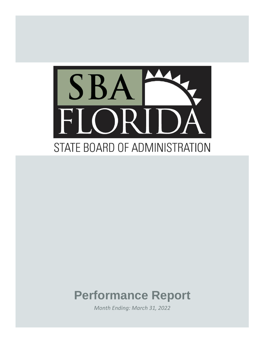

# **Performance Report**

*Month Ending: March 31, 2022*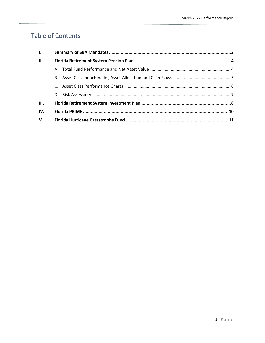# Table of Contents

| $\mathbf{L}$ |  |  |  |  |  |  |  |
|--------------|--|--|--|--|--|--|--|
| <b>II.</b>   |  |  |  |  |  |  |  |
|              |  |  |  |  |  |  |  |
|              |  |  |  |  |  |  |  |
|              |  |  |  |  |  |  |  |
|              |  |  |  |  |  |  |  |
| III.         |  |  |  |  |  |  |  |
| IV.          |  |  |  |  |  |  |  |
| V.           |  |  |  |  |  |  |  |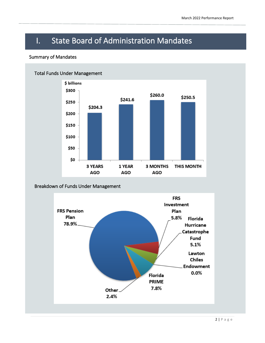# I. State Board of Administration Mandates

## Summary of Mandates



# Breakdown of Funds Under Management

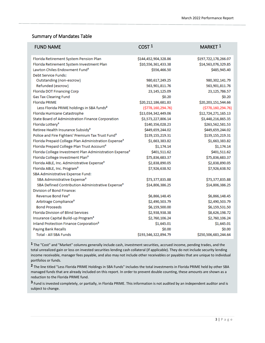# Summary of Mandates Table

| <b>FUND NAME</b>                                                    | COST <sup>1</sup>     | MARKET <sup>1</sup>   |
|---------------------------------------------------------------------|-----------------------|-----------------------|
| Florida Retirement System Pension Plan                              | \$144,452,904,328.86  | \$197,722,178,266.07  |
| Florida Retirement System Investment Plan                           | \$10,556,361,433.38   | \$14,563,076,329.85   |
| Lawton Chiles Endowment Fund <sup>3</sup>                           | \$556,466.50          | \$485,945.40          |
| Debt Service Funds:                                                 |                       |                       |
| Outstanding (non-escrow)                                            | 980,617,249.25        | 980, 302, 141. 79     |
| Refunded (escrow)                                                   | 563,901,811.76        | 563,901,811.76        |
| Florida DOT Financing Corp                                          | 23, 145, 125.09       | 23,125,786.57         |
| <b>Gas Tax Clearing Fund</b>                                        | \$0.20                | \$0.20                |
| <b>Florida PRIME</b>                                                | \$20,212,186,681.83   | \$20,203,151,544.66   |
| Less Florida PRIME holdings in SBA funds <sup>2</sup>               | ( \$778, 160, 294.76) | ( \$778, 160, 294.76) |
| Florida Hurricane Catastrophe                                       | \$13,034,342,449.06   | \$12,724,271,165.13   |
| State Board of Administration Finance Corporation                   | \$3,573,227,806.14    | \$3,448,216,865.35    |
| Florida Lottery <sup>3</sup>                                        | \$140,356,028.23      | \$263,562,581.53      |
| Retiree Health Insurance Subsidy <sup>3</sup>                       | \$449,659,244.02      | \$449,659,244.02      |
| Police and Fire Fighters' Premium Tax Trust Fund <sup>3</sup>       | \$139,155,219.31      | \$139,155,219.31      |
| Florida Prepaid College Plan Administration Expense <sup>3</sup>    | \$1,663,383.82        | \$1,663,383.82        |
| Florida Prepaid College Plan Trust Account <sup>3</sup>             | \$1,174.14            | \$1,174.14            |
| Florida College Investment Plan Administration Expense <sup>3</sup> | \$401,511.62          | \$401,511.62          |
| Florida College Investment Plan <sup>3</sup>                        | \$75,836,683.37       | \$75,836,683.37       |
| Florida ABLE, Inc. Administrative Expense <sup>3</sup>              | \$2,838,890.05        | \$2,838,890.05        |
| Florida ABLE, Inc. Program <sup>3</sup>                             | \$7,926,638.92        | \$7,926,638.92        |
| SBA Administrative Expense Fund:                                    |                       |                       |
| SBA Administrative Expense <sup>3</sup>                             | \$73,377,835.88       | \$73,377,835.88       |
| SBA Defined Contribution Administrative Expense <sup>3</sup>        | \$14,806,386.25       | \$14,806,386.25       |
| Division of Bond Finance:                                           |                       |                       |
| Revenue Bond Fee <sup>3</sup>                                       | \$6,866,148.45        | \$6,866,148.45        |
| Arbitrage Compliance <sup>3</sup>                                   | \$2,490,503.79        | \$2,490,503.79        |
| <b>Bond Proceeds</b>                                                | \$6,159,500.00        | \$6,159,531.50        |
| <b>Florida Division of Blind Services</b>                           | \$2,938,938.38        | \$8,626,198.72        |
| Insurance Capital Build-up Program <sup>3</sup>                     | \$2,760,106.24        | \$2,760,106.24        |
| Inland Protection Finance Corporation <sup>3</sup>                  | \$1,645.01            | \$1,645.01            |
| <b>Paying Bank Recalls</b>                                          | \$0.00                | \$0.00                |
| <b>Total - All SBA Funds</b>                                        | \$193,546,322,894.79  | \$250,506,683,244.64  |

**1** The "Cost" and "Market" columns generally include cash, investment securities, accrued income, pending trades, and the total unrealized gain or loss on invested securities lending cash collateral (if applicable). They do not include security lending income receivable, manager fees payable, and also may not include other receivables or payables that are unique to individual portfolios or funds.

**2** The line titled "Less Florida PRIME Holdings in SBA Funds" includes the total investments in Florida PRIME held by other SBA managed funds that are already included on this report. In order to prevent double counting, these amounts are shown as a reduction to the Florida PRIME fund.

**3** Fund is invested completely, or partially, in Florida PRIME. This information is not audited by an independent auditor and is subject to change.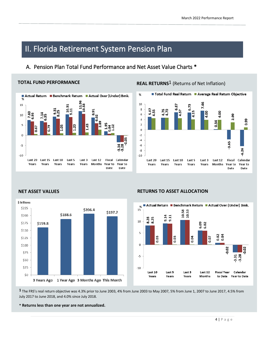# II. Florida Retirement System Pension Plan

# A. Pension Plan Total Fund Performance and Net Asset Value Charts \*

## **TOTAL FUND PERFORMANCE**



**REAL RETURNS<sup>1</sup>** (Returns of Net Inflation)





## **NET ASSET VALUES RETURNS TO ASSET ALLOCATION**



**1** The FRS's real return objective was 4.3% prior to June 2003, 4% from June 2003 to May 2007, 5% from June 1, 2007 to June 2017, 4.5% from July 2017 to June 2018, and 4.0% since July 2018.

**\* Returns less than one year are not annualized.**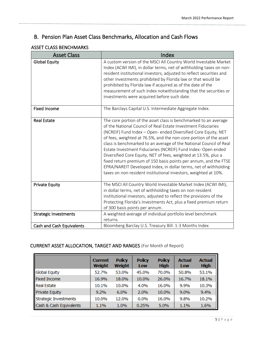# B. Pension Plan Asset Class Benchmarks, Allocation and Cash Flows

# ASSET CLASS BENCHMARKS

| <b>Asset Class</b>               | Index                                                                                                                                                                                                                                                                                                                                                                                                                                                                                                                                                                                                                                                                                         |
|----------------------------------|-----------------------------------------------------------------------------------------------------------------------------------------------------------------------------------------------------------------------------------------------------------------------------------------------------------------------------------------------------------------------------------------------------------------------------------------------------------------------------------------------------------------------------------------------------------------------------------------------------------------------------------------------------------------------------------------------|
| <b>Global Equity</b>             | A custom version of the MSCI All Country World Investable Market<br>Index (ACWI IMI), in dollar terms, net of withholding taxes on non-<br>resident institutional investors, adjusted to reflect securities and<br>other investments prohibited by Florida law or that would be<br>prohibited by Florida law if acquired as of the date of the<br>measurement of such index notwithstanding that the securities or<br>investments were acquired before such date.                                                                                                                                                                                                                             |
| <b>Fixed Income</b>              | The Barclays Capital U.S. Intermediate Aggregate Index.                                                                                                                                                                                                                                                                                                                                                                                                                                                                                                                                                                                                                                       |
| <b>Real Estate</b>               | The core portion of the asset class is benchmarked to an average<br>of the National Council of Real Estate Investment Fiduciaries<br>(NCREIF) Fund Index - Open- ended Diversified Core Equity, NET<br>of fees, weighted at 76.5%, and the non-core portion of the asset<br>class is benchmarked to an average of the National Council of Real<br>Estate Investment Fiduciaries (NCREIF) Fund Index- Open ended<br>Diversified Core Equity, NET of fees, weighted at 13.5%, plus a<br>fixed return premium of 150 basis points per annum, and the FTSE<br>EPRA/NAREIT Developed Index, in dollar terms, net of withholding<br>taxes on non-resident institutional investors, weighted at 10%. |
| <b>Private Equity</b>            | The MSCI All Country World Investable Market Index (ACWI IMI),<br>in dollar terms, net of withholding taxes on non-resident<br>institutional investors, adjusted to reflect the provisions of the<br>Protecting Florida's Investments Act, plus a fixed premium return<br>of 300 basis points per annum.                                                                                                                                                                                                                                                                                                                                                                                      |
| <b>Strategic Investments</b>     | A weighted-average of individual portfolio level benchmark<br>returns.                                                                                                                                                                                                                                                                                                                                                                                                                                                                                                                                                                                                                        |
| <b>Cash and Cash Equivalents</b> | Bloomberg Barclay U.S. Treasury Bill: 1-3 Months Index                                                                                                                                                                                                                                                                                                                                                                                                                                                                                                                                                                                                                                        |

# CURRENT ASSET ALLOCATION, TARGET AND RANGES (For Month of Report)

|                         | <b>Current</b><br>Weight | <b>Policy</b><br>Weight | <b>Policy</b><br>Low | <b>Policy</b><br><b>High</b> | <b>Actual</b><br>Low | <b>Actual</b><br><b>High</b> |
|-------------------------|--------------------------|-------------------------|----------------------|------------------------------|----------------------|------------------------------|
| <b>Global Equity</b>    | 52.7%                    | 53.0%                   | 45.0%                | 70.0%                        | 50.8%                | 53.1%                        |
| <b>Fixed Income</b>     | 16.9%                    | 18.0%                   | 10.0%                | 26.0%                        | 16.7%                | 18.1%                        |
| <b>Real Estate</b>      | 10.1%                    | 10.0%                   | 4.0%                 | 16.0%                        | 9.9%                 | 10.3%                        |
| Private Equity          | 9.2%                     | 6.0%                    | 2.0%                 | 10.0%                        | 9.0%                 | 9.4%                         |
| Strategic Investments   | 10.0%                    | 12.0%                   | 0.0%                 | 16.0%                        | 9.8%                 | 10.2%                        |
| Cash & Cash Equivalents | 1.1%                     | 1.0%                    | 0.25%                | 5.0%                         | 1.1%                 | 1.6%                         |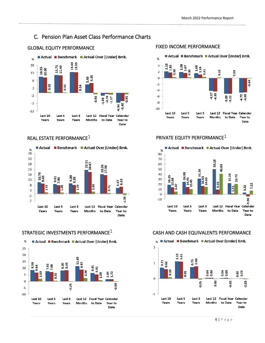# C. Pension Plan Asset Class Performance Charts







# GLOBAL EQUITY PERFORMANCE **FIXED INCOME PERFORMANCE**



# REAL ESTATE PERFORMANCE $1$   $PRIVATE$  EQUITY PERFORMANCE $1$



### STRATEGIC INVESTMENTS PERFORMANCE $1$  CASH AND CASH EQUIVALENTS PERFORMANCE

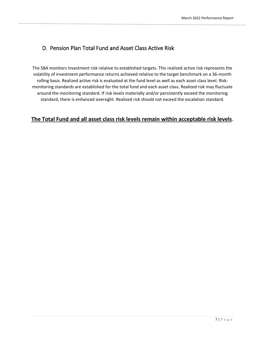# D. Pension Plan Total Fund and Asset Class Active Risk

The SBA monitors investment risk relative to established targets. This realized active risk represents the volatility of investment performance returns achieved relative to the target benchmark on a 36-month rolling basis. Realized active risk is evaluated at the fund level as well as each asset class level. Riskmonitoring standards are established for the total fund and each asset class. Realized risk may fluctuate around the monitoring standard. If risk levels materially and/or persistently exceed the monitoring standard, there is enhanced oversight. Realized risk should not exceed the escalation standard.

# **The Total Fund and all asset class risk levels remain within acceptable risk levels**.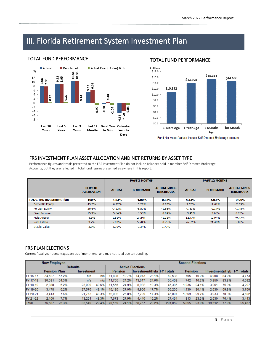# III. Florida Retirement System Investment Plan

### **TOTAL FUND PERFORMANCE**



## TOTAL FUND PERFORMANCE



Fund Net Asset Values include Self-Directed Brokerage account

## FRS INVESTMENT PLAN ASSET ALLOCATION AND NET RETURNS BY ASSET TYPE

Performance figures and totals presented to the FRS Investment Plan do not include balances held in member Self Directed Brokerage Accounts, but they are reflected in total fund figures presented elsewhere in this report.

|                                  |                                     |               | <b>PAST 3 MONTHS</b> |                                         | <b>PAST 12 MONTHS</b> |                          |                                         |  |
|----------------------------------|-------------------------------------|---------------|----------------------|-----------------------------------------|-----------------------|--------------------------|-----------------------------------------|--|
|                                  | <b>PERCENT</b><br><b>ALLOCATION</b> | <b>ACTUAL</b> | <b>BENCHMARK</b>     | <b>ACTUAL MINUS</b><br><b>BENCHMARK</b> | <b>ACTUAL</b>         | <b>BENCHMARK</b>         | <b>ACTUAL MINUS</b><br><b>BENCHMARK</b> |  |
| <b>TOTAL FRS Investment Plan</b> | 100%                                | $-4.83%$      | $-4.00%$             | $-0.84%$                                | 5.13%                 | 6.03%                    | $-0.90\%$                               |  |
| <b>Domestic Equity</b>           | 43.2%                               | $-6.22%$      | $-5.29%$             | $-0.93%$                                | 9.52%                 | 11.61%                   | $-2.09%$                                |  |
| <b>Foreign Equity</b>            | 20.6%                               | $-7.23%$      | $-5.57%$             | $-1.66%$                                | $-1.63%$              | $-0.14%$                 | $-1.48%$                                |  |
| <b>Fixed Income</b>              | 15.3%                               | $-5.64%$      | $-5.55%$             | $-0.09%$                                | $-3.41%$              | $-3.68%$                 | 0.28%                                   |  |
| Multi Assets                     | 8.3%                                | 1.81%         | 2.99%                | $-1.18%$                                | 12.47%                | 12.94%                   | $-0.47%$                                |  |
| <b>Real Estate</b>               | 3.7%                                | 5.03%         | 5.78%                | $-0.75%$                                | 26.52%                | 21.48%                   | 5.03%                                   |  |
| Stable Value                     | 8.8%                                | 0.39%         | $-2.34%$             | 2.73%                                   | ٠                     | $\overline{\phantom{a}}$ | ۰.                                      |  |

## FRS PLAN ELECTIONS

Current fiscal-year percentages are as of month end, and may not total due to rounding.

|          |                                   | <b>New Employee</b> |        |                                             |                         |       |        |                |         |                                   |       | <b>Second Elections</b> |       |        |  |  |
|----------|-----------------------------------|---------------------|--------|---------------------------------------------|-------------------------|-------|--------|----------------|---------|-----------------------------------|-------|-------------------------|-------|--------|--|--|
|          | <b>Defaults</b>                   |                     |        |                                             | <b>Active Elections</b> |       |        |                |         |                                   |       |                         |       |        |  |  |
|          | <b>Pension Plan</b><br>Investment |                     |        | Investment/Hybr FY Totals<br><b>Pension</b> |                         |       |        | <b>Pension</b> |         | <b>Investments/Hybl FY Totals</b> |       |                         |       |        |  |  |
| FY 16-17 | 34.627                            | 57.2%               | n/a    | n/a                                         | 11.898                  | 19.7% | 14.013 | 23.1%          | 60,538  | 765                               | 16.0% | 4.008                   | 84.0% | 4.773  |  |  |
| FY 17-18 | 30.081                            | 54.3%               | n/a    | n/a                                         | 11.755                  | 21.2% | 13.617 | 24.6%          | 55,453  | 742                               | 16.2% | 3.850                   | 83.8% | 4,592  |  |  |
| FY 18-19 | 2.888                             | 6.2%                | 23.009 | 49.6%                                       | 11.556                  | 24.9% | 8.932  | 19.3%          | 46.385  | 1,036                             | 24.1% | 3.261                   | 75.9% | 4,297  |  |  |
| FY 19-20 | 3.478                             | 6.2%                | 27.576 | 49.1%                                       | 15.195                  | 27.0% | 9.956  | 17.7%          | 56,205  | 1.130                             | 30.1% | 2.630                   | 69.9% | 3,760  |  |  |
| FY 20-21 | 3.413                             | 7.6%                | 21.713 | 48.3%                                       | 12.082                  | 26.8% | 7.799  | 17.3%          | 45.007  | 1.369                             | 29.7% | 3.233                   | 70.3% | 4.602  |  |  |
| FY 21-22 | 2.100                             | 7.7%                | 13.251 | 48.3%                                       | 7.673                   | 27.9% | 4.440  | 16.2%          | 27.464  | 813                               | 23.6% | 2.630                   | 76.4% | 3.443  |  |  |
| Total    | 76.587                            | 26.3%               | 85.549 | 29.4%                                       | 70.159                  | 24.1% | 58.757 | 20.2%          | 291.052 | 5.855                             | 23.0% | 19.612                  | 77.0% | 25.467 |  |  |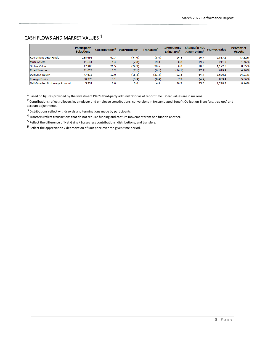# CASH FLOWS AND MARKET VALUES

|                                 | <b>Participant</b><br><b>Selections</b> | Contributions <sup>2</sup> | Distributions <sup>3</sup> | <b>Transfers<sup>4</sup></b> | <b>Investment</b><br>Gain/Loss <sup>5</sup> | <b>Change in Net</b><br>Asset Value <sup>6</sup> | <b>Market Value</b> | <b>Percent of</b><br><b>Assets</b> |
|---------------------------------|-----------------------------------------|----------------------------|----------------------------|------------------------------|---------------------------------------------|--------------------------------------------------|---------------------|------------------------------------|
| Retirement Date Funds           | 238,491                                 | 62.7                       | (54.4)                     | (8.4)                        | 56.8                                        | 56.7                                             | 6,887.2             | 47.32%                             |
| Multi-Assets                    | 11,641                                  | 1.4                        | (2.8)                      | 19.8                         | 0.8                                         | 19.2                                             | 211.9               | 1.46%                              |
| <b>Stable Value</b>             | 17,980                                  | 26.5                       | (29.3)                     | 20.6                         | 0.8                                         | 18.6                                             | 1,172.0             | 8.05%                              |
| <b>Fixed Income</b>             | 31,623                                  | 2.2                        | (7.1)                      | (6.1)                        | (16.1)                                      | (27.1)                                           | 619.4               | 4.26%                              |
| Domestic Equity                 | 77,618                                  | 12.0                       | (18.8)                     | (21.3)                       | 92.5                                        | 64.4                                             | 3,626.3             | 24.91%                             |
| Foreign Equity                  | 50,370                                  | 3.1                        | (5.9)                      | (9.4)                        | 7.2                                         | (4.9)                                            | 809.4               | 5.56%                              |
| Self-Directed Brokerage Account | 5,331                                   | 0.0                        | 0.0                        | 4.8                          | 30.7                                        | 35.5                                             | 1,228.8             | 8.44%                              |

Based on figures provided by the Investment Plan's third-party administrator as of report time. Dollar values are in millions.

 Contributions reflect rollovers in, employer and employee contributions, conversions in (Accumulated Benefit Obligation Transfers, true ups) and account adjustments.

Distributions reflect withdrawals and terminations made by participants.

Transfers reflect transactions that do not require funding and capture movement from one fund to another.

Reflect the difference of Net Gains / Losses less contributions, distributions, and transfers.

Reflect the appreciation / depreciation of unit price over the given time period.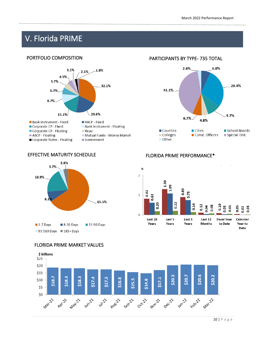# V. Florida PRIME

# PORTFOLIO COMPOSITION



# PARTICIPANTS BY TYPE- 735 TOTAL



## EFFECTIVE MATURITY SCHEDULE FLORIDA PRIME PERFORMANCE\*





### FLORIDA PRIME MARKET VALUES